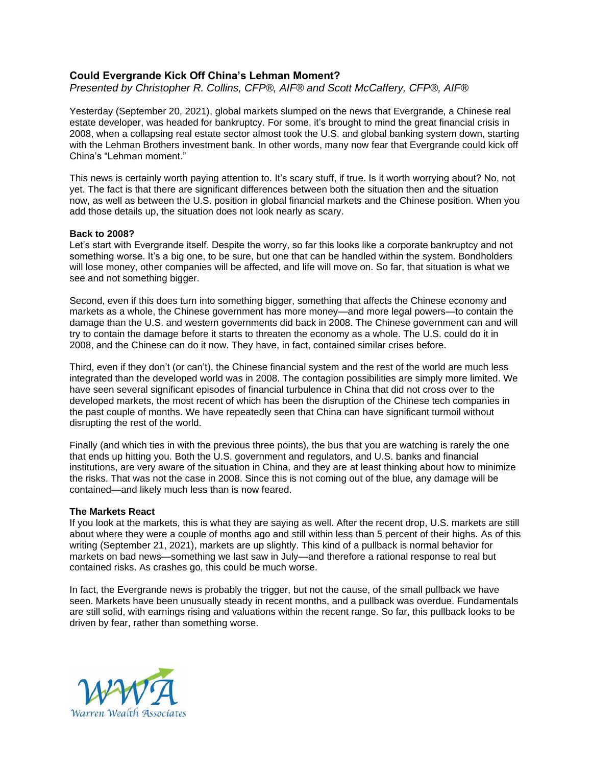# **Could Evergrande Kick Off China's Lehman Moment?**

*Presented by Christopher R. Collins, CFP®, AIF® and Scott McCaffery, CFP®, AIF®*

Yesterday (September 20, 2021), global markets slumped on the news that Evergrande, a Chinese real estate developer, was headed for bankruptcy. For some, it's brought to mind the great financial crisis in 2008, when a collapsing real estate sector almost took the U.S. and global banking system down, starting with the Lehman Brothers investment bank. In other words, many now fear that Evergrande could kick off China's "Lehman moment."

This news is certainly worth paying attention to. It's scary stuff, if true. Is it worth worrying about? No, not yet. The fact is that there are significant differences between both the situation then and the situation now, as well as between the U.S. position in global financial markets and the Chinese position. When you add those details up, the situation does not look nearly as scary.

#### **Back to 2008?**

Let's start with Evergrande itself. Despite the worry, so far this looks like a corporate bankruptcy and not something worse. It's a big one, to be sure, but one that can be handled within the system. Bondholders will lose money, other companies will be affected, and life will move on. So far, that situation is what we see and not something bigger.

Second, even if this does turn into something bigger, something that affects the Chinese economy and markets as a whole, the Chinese government has more money—and more legal powers—to contain the damage than the U.S. and western governments did back in 2008. The Chinese government can and will try to contain the damage before it starts to threaten the economy as a whole. The U.S. could do it in 2008, and the Chinese can do it now. They have, in fact, contained similar crises before.

Third, even if they don't (or can't), the Chinese financial system and the rest of the world are much less integrated than the developed world was in 2008. The contagion possibilities are simply more limited. We have seen several significant episodes of financial turbulence in China that did not cross over to the developed markets, the most recent of which has been the disruption of the Chinese tech companies in the past couple of months. We have repeatedly seen that China can have significant turmoil without disrupting the rest of the world.

Finally (and which ties in with the previous three points), the bus that you are watching is rarely the one that ends up hitting you. Both the U.S. government and regulators, and U.S. banks and financial institutions, are very aware of the situation in China, and they are at least thinking about how to minimize the risks. That was not the case in 2008. Since this is not coming out of the blue, any damage will be contained—and likely much less than is now feared.

## **The Markets React**

If you look at the markets, this is what they are saying as well. After the recent drop, U.S. markets are still about where they were a couple of months ago and still within less than 5 percent of their highs. As of this writing (September 21, 2021), markets are up slightly. This kind of a pullback is normal behavior for markets on bad news—something we last saw in July—and therefore a rational response to real but contained risks. As crashes go, this could be much worse.

In fact, the Evergrande news is probably the trigger, but not the cause, of the small pullback we have seen. Markets have been unusually steady in recent months, and a pullback was overdue. Fundamentals are still solid, with earnings rising and valuations within the recent range. So far, this pullback looks to be driven by fear, rather than something worse.